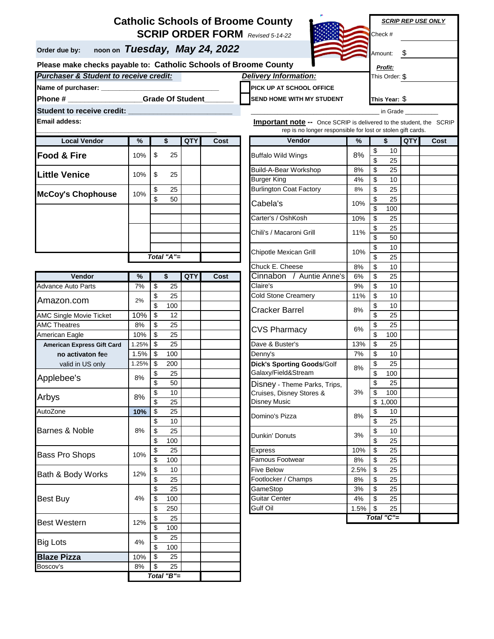## **SCRIP ORDER FORM** *Revised 5-14-22* **Catholic Schools of Broome County**

**Order due by: noon on** *Tuesday, May 24, 2022*



*SCRIP REP USE ONLY*

Check # Amount: \$ *Profit:*

*Purchaser & Student to receive credit:* **Please make checks payable to: Catholic Schools of Broome County**

| <b>Purchaser &amp; Student to receive credit:</b> | <b>Delivery Information:</b>      | This Order: \$ |
|---------------------------------------------------|-----------------------------------|----------------|
| Name of purchaser:                                | <b>PICK UP AT SCHOOL OFFICE</b>   |                |
| Phone #<br><b>Grade Of Student</b>                | <b>ISEND HOME WITH MY STUDENT</b> | This Year: \$  |
| Student to receive credit:                        |                                   | in Grade       |

**Student to receive credit: \_\_\_\_\_\_\_\_\_\_\_\_\_\_\_\_\_\_\_\_\_\_\_\_\_**

**Email addess:** 

| <b>Local Vendor</b> | %          |    | \$ | <b>QTY</b> | Cost |
|---------------------|------------|----|----|------------|------|
| Food & Fire         | 10%        | \$ | 25 |            |      |
| Little Venice       | 10%        | \$ | 25 |            |      |
| McCoy's Chophouse   | 10%        | \$ | 25 |            |      |
|                     |            | \$ | 50 |            |      |
|                     |            |    |    |            |      |
|                     |            |    |    |            |      |
|                     |            |    |    |            |      |
|                     |            |    |    |            |      |
|                     |            |    |    |            |      |
|                     | Total "A"= |    |    |            |      |

| Vendor                            | %     | \$            | <b>QTY</b> | <b>Cost</b> | Cinnabon / Auntie Anne's          | 6%   | \$                      | 25         |
|-----------------------------------|-------|---------------|------------|-------------|-----------------------------------|------|-------------------------|------------|
| Advance Auto Parts                | 7%    | \$<br>25      |            |             | Claire's                          | 9%   | \$                      | 10         |
|                                   | 2%    | \$<br>25      |            |             | <b>Cold Stone Creamery</b>        | 11%  | \$                      | 10         |
| Amazon.com                        |       | \$<br>100     |            |             |                                   | 8%   | \$                      | 10         |
| <b>AMC Single Movie Ticket</b>    | 10%   | \$<br>12      |            |             | Cracker Barrel                    |      | \$                      | 25         |
| <b>AMC Theatres</b>               | 8%    | \$<br>25      |            |             | <b>CVS Pharmacy</b>               | 6%   | \$                      | 25         |
| American Eagle                    | 10%   | \$<br>25      |            |             |                                   |      | $\overline{\mathbb{S}}$ | 100        |
| <b>American Express Gift Card</b> | 1.25% | \$<br>25      |            |             | Dave & Buster's                   | 13%  | \$                      | 25         |
| no activaton fee                  | 1.5%  | \$<br>100     |            |             | Denny's                           | 7%   | \$                      | 10         |
| valid in US only                  | 1.25% | \$<br>200     |            |             | <b>Dick's Sporting Goods/Golf</b> | 8%   | \$                      | 25         |
| Applebee's                        | 8%    | \$<br>25      |            |             | Galaxy/Field&Stream               |      | \$                      | 100        |
|                                   |       | \$<br>50      |            |             | Disney - Theme Parks, Trips,      |      | \$                      | 25         |
| Arbys                             | 8%    | \$<br>10      |            |             | Cruises, Disney Stores &          | 3%   | \$                      | 100        |
|                                   |       | \$<br>25      |            |             | <b>Disney Music</b>               |      | \$                      | 1,000      |
| AutoZone                          | 10%   | \$<br>25      |            |             | Domino's Pizza                    | 8%   | \$                      | 10         |
| <b>Barnes &amp; Noble</b>         | 8%    | \$<br>10      |            |             |                                   |      | \$                      | 25         |
|                                   |       | \$<br>25      |            |             | Dunkin' Donuts                    | 3%   | \$                      | 10         |
|                                   |       | \$<br>100     |            |             |                                   |      | \$                      | 25         |
| <b>Bass Pro Shops</b>             | 10%   | \$<br>25      |            |             | <b>Express</b>                    | 10%  | \$                      | 25         |
|                                   |       | \$<br>100     |            |             | <b>Famous Footwear</b>            | 8%   | \$                      | 25         |
| Bath & Body Works                 | 12%   | \$<br>10      |            |             | <b>Five Below</b>                 | 2.5% | \$                      | 25         |
|                                   |       | \$<br>25      |            |             | Footlocker / Champs               | 8%   | \$                      | 25         |
|                                   |       | \$<br>25      |            |             | GameStop                          | 3%   | \$                      | 25         |
| <b>Best Buy</b>                   | 4%    | \$<br>100     |            |             | <b>Guitar Center</b>              | 4%   | \$                      | 25         |
|                                   |       | \$<br>250     |            |             | Gulf Oil                          | 1.5% | \$                      | 25         |
| <b>Best Western</b>               | 12%   | \$<br>25      |            |             |                                   |      |                         | Total "C": |
|                                   |       | \$<br>100     |            |             |                                   |      |                         |            |
| <b>Big Lots</b>                   | 4%    | \$<br>25      |            |             |                                   |      |                         |            |
|                                   |       | \$<br>100     |            |             |                                   |      |                         |            |
| <b>Blaze Pizza</b>                | 10%   | \$<br>25      |            |             |                                   |      |                         |            |
| Boscov's                          | 8%    | \$<br>25      |            |             |                                   |      |                         |            |
|                                   |       | Total $"B" =$ |            |             |                                   |      |                         |            |

| ddess:               | <b>Important note --</b> Once SCRIP is delivered to the student, the SCRIP<br>rep is no longer responsible for lost or stolen gift cards. |                                              |            |      |                                   |      |                               |            |            |      |
|----------------------|-------------------------------------------------------------------------------------------------------------------------------------------|----------------------------------------------|------------|------|-----------------------------------|------|-------------------------------|------------|------------|------|
| <b>Local Vendor</b>  | %                                                                                                                                         | \$                                           | <b>QTY</b> | Cost | Vendor                            | %    |                               | \$         | <b>QTY</b> | Cost |
| & Fire               | 10%                                                                                                                                       | $\boldsymbol{\$}$<br>25                      |            |      | <b>Buffalo Wild Wings</b>         | 8%   | \$<br>$\overline{\mathsf{s}}$ | 10<br>25   |            |      |
| Venice               | 10%                                                                                                                                       | \$<br>25                                     |            |      | Build-A-Bear Workshop             | 8%   | \$                            | 25         |            |      |
|                      |                                                                                                                                           |                                              |            |      | <b>Burger King</b>                | 4%   | \$                            | 10         |            |      |
| 's Chophouse         | 10%                                                                                                                                       | 25<br>\$                                     |            |      | <b>Burlington Coat Factory</b>    | 8%   | \$                            | 25         |            |      |
|                      |                                                                                                                                           | \$<br>50                                     |            |      | Cabela's                          | 10%  | \$                            | 25         |            |      |
|                      |                                                                                                                                           |                                              |            |      |                                   |      | $\overline{\mathcal{S}}$      | 100        |            |      |
|                      |                                                                                                                                           |                                              |            |      | Carter's / OshKosh                | 10%  | \$                            | 25         |            |      |
|                      |                                                                                                                                           |                                              |            |      | Chili's / Macaroni Grill          | 11%  | \$                            | 25         |            |      |
|                      |                                                                                                                                           |                                              |            |      |                                   |      | \$                            | 50         |            |      |
|                      |                                                                                                                                           |                                              |            |      | Chipotle Mexican Grill            | 10%  | \$                            | 10         |            |      |
|                      |                                                                                                                                           | Total "A"=                                   |            |      |                                   |      | \$                            | 25         |            |      |
|                      |                                                                                                                                           |                                              |            |      | Chuck E. Cheese                   | 8%   | \$                            | 10         |            |      |
| Vendor               | %                                                                                                                                         | \$                                           | QTY        | Cost | Cinnabon / Auntie Anne's          | 6%   | \$                            | 25         |            |      |
| <b>Auto Parts</b>    | 7%                                                                                                                                        | \$<br>25                                     |            |      | Claire's                          | 9%   | \$                            | 10         |            |      |
| on.com               | 2%                                                                                                                                        | \$<br>25                                     |            |      | Cold Stone Creamery               | 11%  | \$                            | 10         |            |      |
|                      |                                                                                                                                           | \$<br>100                                    |            |      | Cracker Barrel                    | 8%   | \$                            | 10         |            |      |
| ngle Movie Ticket    | 10%                                                                                                                                       | \$<br>12                                     |            |      |                                   |      | \$                            | 25         |            |      |
| eatres               | 8%                                                                                                                                        | \$<br>25                                     |            |      | CVS Pharmacy                      | 6%   | \$                            | 25         |            |      |
| n Eagle              | 10%                                                                                                                                       | $\overline{25}$<br>$\boldsymbol{\mathsf{S}}$ |            |      |                                   |      | \$<br>\$                      | 100        |            |      |
| an Express Gift Card | 1.25%                                                                                                                                     | \$<br>25                                     |            |      | Dave & Buster's                   | 13%  |                               | 25         |            |      |
| o activaton fee      | 1.5%                                                                                                                                      | \$<br>100                                    |            |      | Denny's                           | 7%   | \$                            | 10         |            |      |
| valid in US only     | 1.25%                                                                                                                                     | \$<br>200                                    |            |      | <b>Dick's Sporting Goods/Golf</b> | 8%   | \$                            | 25         |            |      |
| pee's                | 8%                                                                                                                                        | \$<br>25                                     |            |      | Galaxy/Field&Stream               |      | \$                            | 100        |            |      |
|                      |                                                                                                                                           | $\mathsf{\$}$<br>50                          |            |      | Disney - Theme Parks, Trips,      |      | \$                            | 25         |            |      |
|                      | 8%                                                                                                                                        | \$<br>10                                     |            |      | Cruises, Disney Stores &          | 3%   | \$                            | 100        |            |      |
|                      |                                                                                                                                           | \$<br>25                                     |            |      | Disney Music                      |      | \$                            | 1,000      |            |      |
| е                    | 10%                                                                                                                                       | \$<br>25                                     |            |      | Domino's Pizza                    | 8%   | \$                            | 10         |            |      |
|                      |                                                                                                                                           | \$<br>10                                     |            |      |                                   |      | \$                            | 25         |            |      |
| & Noble              | 8%                                                                                                                                        | \$<br>25                                     |            |      | Dunkin' Donuts                    | 3%   | \$                            | 10         |            |      |
|                      |                                                                                                                                           | \$<br>100                                    |            |      |                                   |      | \$                            | 25         |            |      |
| ro Shops             | 10%                                                                                                                                       | \$<br>25                                     |            |      | <b>Express</b>                    | 10%  | \$                            | 25         |            |      |
|                      |                                                                                                                                           | \$<br>100                                    |            |      | Famous Footwear                   | 8%   | \$                            | 25         |            |      |
| <b>Body Works</b>    | 12%                                                                                                                                       | \$<br>10                                     |            |      | <b>Five Below</b>                 | 2.5% | \$                            | 25         |            |      |
|                      |                                                                                                                                           | \$<br>25                                     |            |      | Footlocker / Champs               | 8%   | \$                            | 25         |            |      |
|                      |                                                                                                                                           | \$<br>25                                     |            |      | GameStop                          | 3%   | \$                            | 25         |            |      |
| uy                   | 4%                                                                                                                                        | \$<br>100                                    |            |      | Guitar Center                     | 4%   | \$                            | 25         |            |      |
|                      |                                                                                                                                           | 250<br>\$                                    |            |      | Gulf Oil                          | 1.5% | \$                            | 25         |            |      |
| $l$ antarn           | 4001                                                                                                                                      | $\overline{\mathcal{S}}$<br>25               |            |      |                                   |      |                               | Total "C"= |            |      |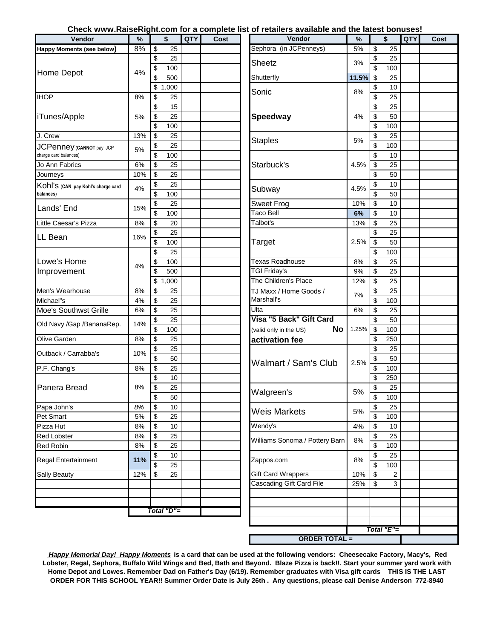## **Check www.RaiseRight.com for a complete list of retailers available and the latest bonuses!**

| Vendor                             | %                             | \$              | QTY   | Cost                        | Vendor                         | %     | \$                     | QTY | Cost |
|------------------------------------|-------------------------------|-----------------|-------|-----------------------------|--------------------------------|-------|------------------------|-----|------|
| Happy Moments (see below)          | 8%                            | \$<br>25        |       |                             | Sephora (in JCPenneys)         | 5%    | \$<br>25               |     |      |
|                                    |                               | \$<br>25        |       |                             |                                |       | \$<br>25               |     |      |
|                                    |                               | \$<br>100       |       |                             | Sheetz                         | 3%    | $\overline{\$}$<br>100 |     |      |
| Home Depot                         | 4%                            | \$<br>500       |       |                             | Shutterfly                     | 11.5% | \$<br>25               |     |      |
|                                    |                               | \$<br>1,000     |       |                             |                                |       | \$<br>10               |     |      |
| <b>IHOP</b>                        | 8%                            | \$<br>25        |       |                             | Sonic                          | 8%    | $\overline{\$}$<br>25  |     |      |
|                                    |                               | \$<br>15        |       |                             |                                |       | \$<br>25               |     |      |
| iTunes/Apple                       | 5%                            | \$<br>25        |       |                             | <b>Speedway</b>                | 4%    | \$<br>50               |     |      |
|                                    |                               | \$<br>100       |       |                             |                                |       | \$<br>100              |     |      |
| J. Crew                            | 13%                           | \$<br>25        |       |                             |                                |       | \$<br>25               |     |      |
| JCPenney (CANNOT pay JCP           |                               | \$<br>25        |       |                             | <b>Staples</b>                 | 5%    | $\overline{\$}$<br>100 |     |      |
| charge card balances)              | 5%                            | \$<br>100       |       |                             |                                |       | \$<br>10               |     |      |
| Jo Ann Fabrics                     | 6%                            | \$<br>25        |       |                             | Starbuck's                     | 4.5%  | \$<br>25               |     |      |
| Journeys                           | 10%                           | \$<br>25        |       |                             |                                |       | \$<br>50               |     |      |
| Kohl'S (CAN pay Kohl's charge card |                               | 25<br>\$        |       |                             |                                |       | \$<br>10               |     |      |
| balances)                          | 4%                            | \$<br>100       |       |                             | Subway                         | 4.5%  | \$<br>50               |     |      |
|                                    |                               | 25<br>\$        |       |                             | Sweet Frog                     | 10%   | \$<br>10               |     |      |
| Lands' End                         | 15%                           | \$<br>100       |       |                             | Taco Bell                      | 6%    | \$<br>10               |     |      |
| Little Caesar's Pizza              | 8%                            | \$<br>20        |       |                             | Talbot's                       | 13%   | \$<br>25               |     |      |
|                                    |                               | \$<br>25        |       |                             |                                |       | \$<br>25               |     |      |
| LL Bean                            | 16%                           | \$<br>100       |       |                             | <b>Target</b>                  | 2.5%  | \$<br>50               |     |      |
|                                    |                               | \$<br>25        |       |                             |                                |       | \$<br>100              |     |      |
| Lowe's Home                        |                               | \$<br>100       |       |                             | <b>Texas Roadhouse</b>         | 8%    | \$<br>25               |     |      |
|                                    | 4%                            | \$<br>500       |       |                             | TGI Friday's                   | 9%    | \$<br>25               |     |      |
| Improvement                        |                               | \$<br>,000<br>1 |       |                             | The Children's Place           | 12%   | \$<br>25               |     |      |
| Men's Wearhouse                    | 8%                            | \$<br>25        |       |                             | TJ Maxx / Home Goods /         |       | \$<br>25               |     |      |
| Michael"s                          | 4%                            | \$<br>25        |       |                             | Marshall's                     | 7%    | $\overline{\$}$<br>100 |     |      |
| Moe's Southwst Grille              | 6%                            | \$<br>25        |       |                             | Ulta                           | 6%    | \$<br>25               |     |      |
|                                    |                               | \$<br>25        |       |                             | Visa "5 Back" Gift Card        |       | \$<br>50               |     |      |
| Old Navy /Gap /BananaRep.          | 14%                           | \$<br>100       |       |                             | No                             | 1.25% | \$<br>100              |     |      |
| Olive Garden                       | 8%                            | \$<br>25        |       |                             | (valid only in the US)         |       | \$<br>250              |     |      |
|                                    |                               | \$<br>25        |       |                             | activation fee                 |       | \$<br>25               |     |      |
| Outback / Carrabba's               | 10%                           | \$<br>50        |       |                             |                                |       | \$<br>50               |     |      |
| P.F. Chang's                       | 8%                            | \$<br>25        |       |                             | Walmart / Sam's Club           | 2.5%  | $\overline{\$}$<br>100 |     |      |
|                                    |                               | \$<br>10        |       |                             |                                |       | \$<br>250              |     |      |
| Panera Bread                       | 8%                            | \$<br>25        |       |                             |                                |       | \$<br>25               |     |      |
|                                    |                               | 50              |       |                             | Walgreen's                     | 5%    | 100                    |     |      |
| Papa John's                        | 8%                            | \$<br>\$<br>10  |       |                             |                                |       | \$<br>\$<br>25         |     |      |
| Pet Smart                          | $5%$                          | 25              |       |                             | <b>Weis Markets</b>            | 5%    | \$<br>100              |     |      |
| Pizza Hut                          | $8%$                          | \$<br>10        |       |                             | Wendy's                        | 4%    | \$<br>$10$             |     |      |
| Red Lobster                        | $8%$                          | \$<br>25        |       |                             |                                |       | 25                     |     |      |
| Red Robin                          |                               | \$<br>25        |       |                             | Williams Sonoma / Pottery Barn | $8\%$ | \$<br>$\overline{\$}$  |     |      |
|                                    | $8%$                          | \$              |       |                             |                                |       | 100                    |     |      |
| Regal Entertainment                | \$<br>10<br>11%<br>Zappos.com |                 | $8\%$ | \$<br>25<br>$\overline{\$}$ |                                |       |                        |     |      |
|                                    |                               | \$<br>25        |       |                             | <b>Gift Card Wrappers</b>      |       | 100                    |     |      |
| <b>Sally Beauty</b>                | 12%                           | \$<br>25        |       |                             | Cascading Gift Card File       | 10%   | \$<br>$\overline{c}$   |     |      |
|                                    |                               |                 |       |                             |                                | 25%   | \$<br>3                |     |      |
|                                    |                               |                 |       |                             |                                |       |                        |     |      |
|                                    |                               | Total "D"=      |       |                             |                                |       |                        |     |      |
|                                    |                               |                 |       |                             |                                |       |                        |     |      |
|                                    |                               |                 |       |                             |                                |       | Total "E"=             |     |      |

 *Happy Memorial Day! Happy Moments* **is a card that can be used at the following vendors: Cheesecake Factory, Macy's, Red Lobster, Regal, Sephora, Buffalo Wild Wings and Bed, Bath and Beyond. Blaze Pizza is back!!. Start your summer yard work with Home Depot and Lowes. Remember Dad on Father's Day (6/19). Remember graduates with Visa gift cards THIS IS THE LAST ORDER FOR THIS SCHOOL YEAR!! Summer Order Date is July 26th . Any questions, please call Denise Anderson 772-8940**

**ORDER TOTAL =**